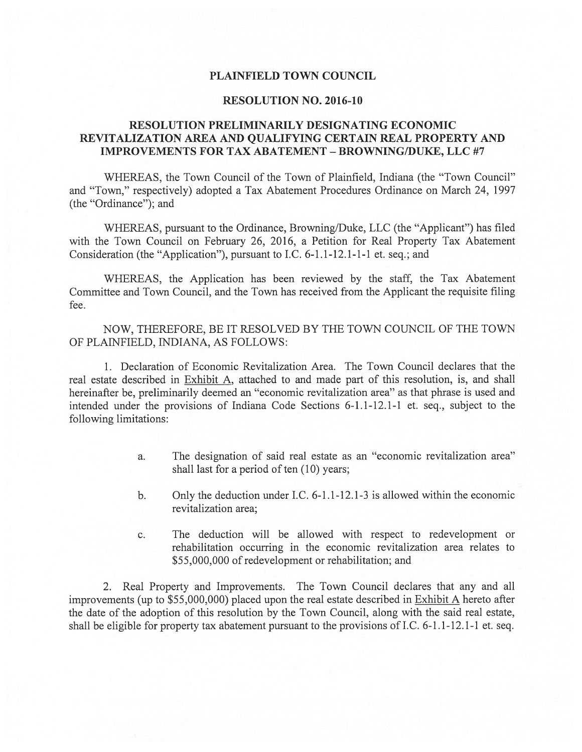### PLAINFIELD TOWN COUNCIL

### RESOLUTION NO. 2016-10

## RESOLUTION PRELIMINARILY DESIGNATING ECONOMIC REVITALIZATION AREA AND QUALIFYING CERTAIN REAL PROPERTY AND IMPROVEMENTS FOR TAX ABATEMENT -BROWNING/DUKE, LLC #7

WHEREAS, the Town Council of the Town of Plainfield, Indiana (the "Town Council" and "Town," respectively) adopted a Tax Abatement Procedures Ordinance on March 24, 1997 (the "Ordinance"); and

WHEREAS, pursuant to the Ordinance, Browning/Duke, LLC (the "Applicant") has filed with the Town Council on February 26, 2016, a Petition for Real Property Tax Abatement Consideration (the "Application"), pursuant to I.C. 6-1.1-12.1-1-1 et. seq.; and

WHEREAS, the Application has been reviewed by the staff, the Tax Abatement Committee and Town Council, and the Town has received from the Applicant the requisite filing fee.

NOW, THEREFORE, BE IT RESOLVED BY THE TOWN COUNCIL OF THE TOWN OF PLAINFIELD, INDIANA, AS FOLLOWS:

1. Declaration of Economic Revitalization Area. The Town Council declares that the real estate described in Exhibit A, attached to and made part of this resolution, is, and shall hereinafter be, preliminarily deemed an "economic revitalization area" as that phrase is used and intended under the provisions of Indiana Code Sections 6-1.1-12.1-1 et. seq., subject to the following limitations:

- a. The designation of said real estate as an "economic revitalization area" shall last for a period of ten  $(10)$  years;
- b. Only the deduction under I.C. 6-1.1-12.1-3 is allowed within the economic revitalization area;
- c. The deduction will be allowed with respect to redevelopment or rehabilitation occurring in the economic revitalization area relates to \$55,000,000 of redevelopment or rehabilitation; and

2. Real Property and Improvements. The Town Council declares that any and all improvements (up to \$55,000,000) placed upon the real estate described in Exhibit A hereto after the date of the adoption of this resolution by the Town Council, along with the said real estate, shall be eligible for property tax abatement pursuant to the provisions of I.C. 6-1.1-12.1-1 et. seq.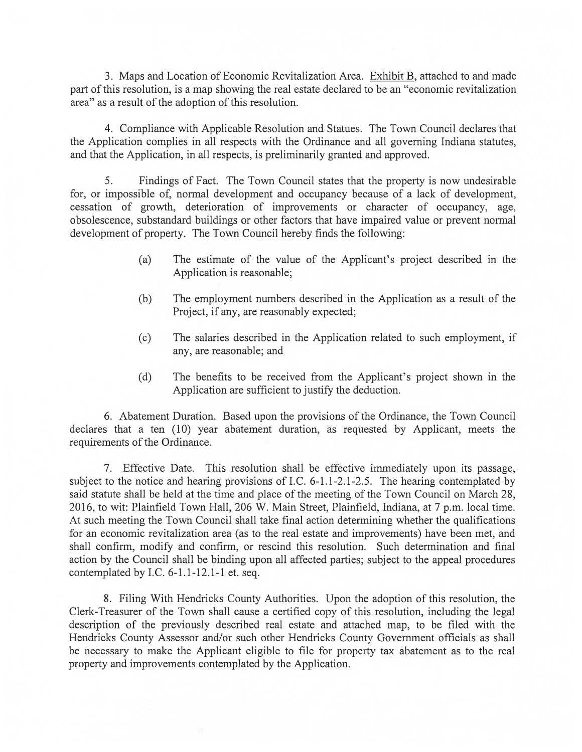3. Maps and Location of Economic Revitalization Area. Exhibit B, attached to and made part of this resolution, is a map showing the real estate declared to be an "economic revitalization area" as a result of the adoption of this resolution.

4. Compliance with Applicable Resolution and Statues. The Town Council declares that the Application complies in all respects with the Ordinance and all governing Indiana statutes, and that the Application, in all respects, is preliminarily granted and approved.

5. Findings of Fact. The Town Council states that the property is now undesirable for, or impossible of, normal development and occupancy because of a lack of development, cessation of growth, deterioration of improvements or character of occupancy, age, obsolescence, substandard buildings or other factors that have impaired value or prevent normal development of property. The Town Council hereby finds the following:

- (a) The estimate of the value of the Applicant's project described in the Application is reasonable;
- (b) The employment numbers described in the Application as a result of the Project, if any, are reasonably expected;
- (c) The salaries described in the Application related to such employment, if any, are reasonable; and
- (d) The benefits to be received from the Applicant's project shown in the Application are sufficient to justify the deduction.

6. Abatement Duration. Based upon the provisions of the Ordinance, the Town Council declares that a ten (10) year abatement duration, as requested by Applicant, meets the requirements of the Ordinance.

7. Effective Date. This resolution shall be effective immediately upon its passage, subject to the notice and hearing provisions of I.C. 6-1.1-2.1-2.5. The hearing contemplated by said statute shall be held at the time and place of the meeting of the Town Council on March 28, 2016, to wit: Plainfield Town Hall, 206 W. Main Street, Plainfield, Indiana, at 7 p.m. local time. At such meeting the Town Council shall take final action determining whether the qualifications for an economic revitalization area (as to the real estate and improvements) have been met, and shall confirm, modify and confirm, or rescind this resolution. Such determination and final action by the Council shall be binding upon all affected parties; subject to the appeal procedures contemplated by I.C.  $6-1.1-12.1-1$  et. seq.

8. Filing With Hendricks County Authorities. Upon the adoption of this resolution, the Clerk-Treasurer of the Town shall cause a certified copy of this resolution, including the legal description of the previously described real estate and attached map, to be filed with the Hendricks County Assessor and/or such other Hendricks County Government officials as shall be necessary to make the Applicant eligible to file for property tax abatement as to the real property and improvements contemplated by the Application.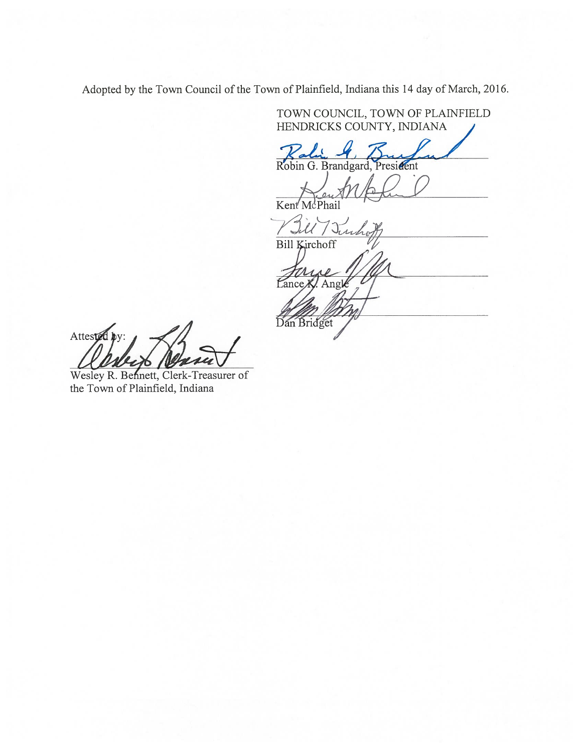Adopted by the Town Council of the Town of Plainfteld, Indiana this 14 day of March, 2016.

TOWN COUNCIL, TOWN OF PLAINFIELD HENDRICKS COUNTY, INDIANA

Ralin 4, Buy

Preut M

Kent'McPhail

L  $J_t U$ ucho Bill Kirchoff Lance K. Angle Dan Bridget

Attested by:

Wesley R. Bennett, Clerk-Treasurer of the Town of Plainfield, Indiana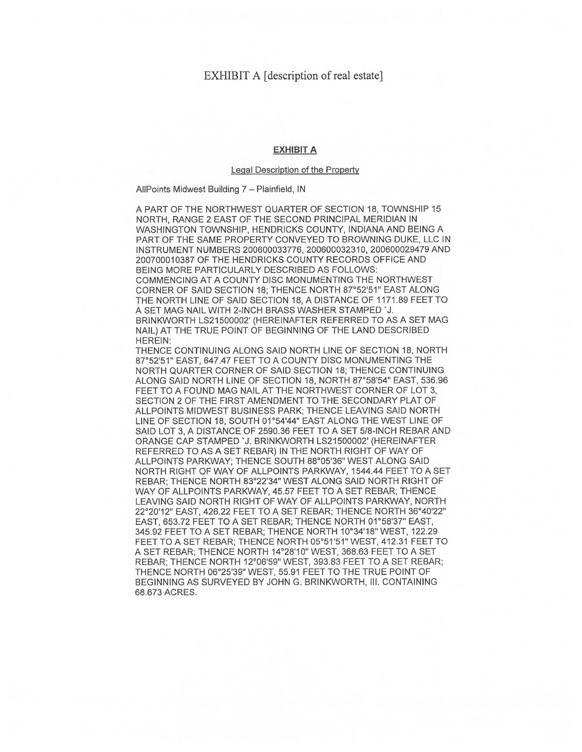## EXHIBIT A [description of real estate]

#### EXHIBIT A

#### Legal Description of the Property

AllPoints Midwest Building 7 — Plainfield, IN

A PART OF THE NORTHWEST QUARTER OF SECTION 18, TOWNSHIP 15 NORTH, RANGE 2 EAST OF THE SECOND PRINCIPAL MERIDIAN IN WASHINGTON TOWNSHIP, HENDRICKS COUNTY, INDIANA AND BEING A PART OF THE SAME PROPERTY CONVEYED TO BROWNING DUKE, LLC IN INSTRUMENT NUMBERS 200600033776, 200600032310, 200600029479 AND 200700010387 OF THE HENDRICKS COUNTY RECORDS OFFICE AND BEING MORE PARTICULARLY DESCRIBED AS FOLLOWS: COMMENCING AT A COUNTY DISC MONUMENTING THE NORTHWEST CORNER OF SAID SECTION 18; THENCE NORTH 87°52'51" EAST ALONG THE NORTH LINE OF SAID SECTION 18, A DISTANCE OF 1171.89 FEET TO A SET MAG NAIL WITH 2-INCH BRASS WASHER STAMPED 'J. BRINKWORTH LS21500002' (HEREINAFTER REFERRED TO AS A SET MAG NAIL) AT THE TRUE POINT OF BEGINNING OF THE LAND DESCRIBED HEREIN:

THENCE CONTINUING ALONG SAID NORTH LINE OF SECTION 18, NORTH 87°52'51" EAST, 647.47 FEET TO A COUNTY DISC MONUMENTING THE NORTH QUARTER CORNER OF SAID SECTION 18; THENCE CONTINUING ALONG SAID NORTH LINE OF SECTION 18, NORTH 87°58'54" EAST, 536.96 FEET TO A FOUND MAG NAIL AT THE NORTHWEST CORNER OF LOT 3, SECTION 2 OF THE FIRST AMENDMENT TO THE SECONDARY PLAT OF ALLPOINTS MIDWEST BUSINESS PARK: THENCE LEAVING SAID NORTH LINE OF SECTION 18, SOUTH 01°54'44' EAST ALONG THE WEST LINE OF SAID LOT 3, A DISTANCE OF 2590.36 FEET TO A SET 5/8-INCH REBAR AND ORANGE CAP STAMPED 'J. BRINKWORTH LS21500002' (HEREINAFTER REFERRED TO AS A SET REBAR) IN THE NORTH RIGHT OF WAY OF ALLPOINTS PARKWAY; THENCE SOUTH 88°05'36" WEST ALONG SAID NORTH RIGHT OF WAY OF ALLPOINTS PARKWAY, 1544.44 FEET TO A SET REBAR; THENCE NORTH 83°22'34" WEST ALONG SAID NORTH RIGHT OF WAY OF ALLPOINTS PARKWAY, 45.57 FEET TO A SET REBAR; THENCE LEAVING SAID NORTH RIGHT OF WAY OF ALLPOINTS PARKWAY, NORTH 22°20'12" EAST, 426.22 FEET TO A SET REBAR; THENCE NORTH 36°40'22" EAST, 653.72 FEET TO A SET REBAR; THENCE NORTH 01°58'37' EAST, 345,92 FEET TO A SET REBAR; THENCE NORTH 10°34'18' WEST, 122.29 FEET TO A SET REBAR; THENCE NORTH 05°51'51" WEST, 412.31 FEET TO A SET REBAR; THENCE NORTH 14°28'lO" WEST, 368.63 FEET TO A SET REBAR; THENCE NORTH 12°06'59" WEST, 393.83 FEET TO A SET REBAR; THENCE NORTH 06°2539" WEST, 55.91 FEET TO THE TRUE POINT OF BEGINNING AS SURVEYED BY JOHN G. BRINKWORTH, III. CONTAINING 68.673 ACRES.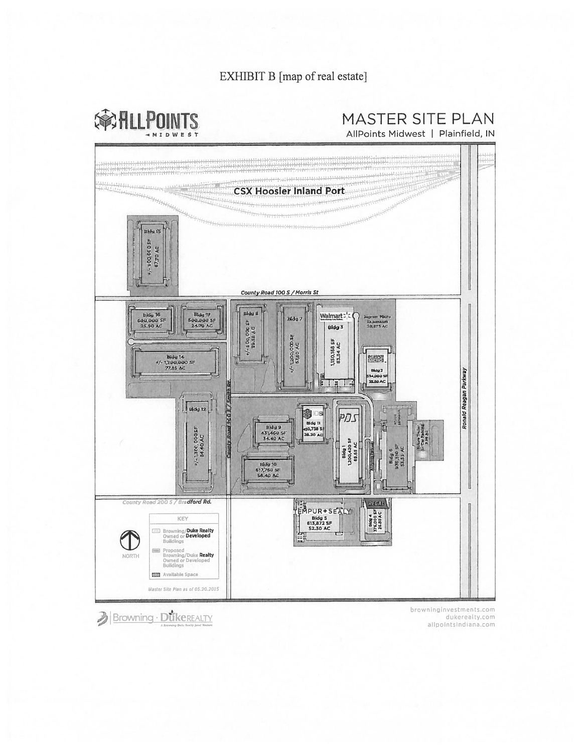# EXHIBIT B [map of real estate]

命ALLPOINTS **MTDWFS** 

MASTER SITE PLAN

AllPoints Midwest | Plainfield, IN



allpointsindiana.com